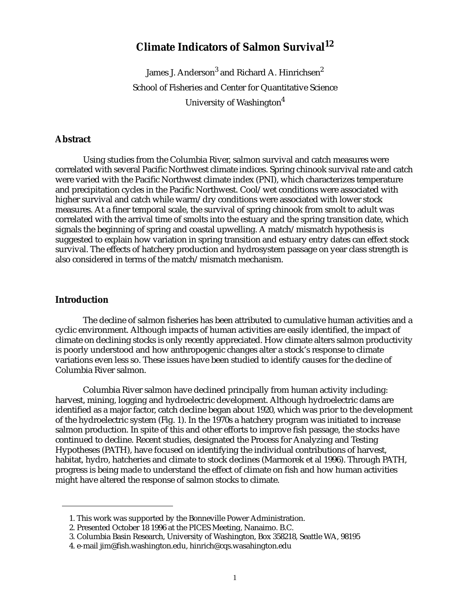# **Climate Indicators of Salmon Survival<sup>12</sup>**

James J. Anderson $^3$  and Richard A. Hinrichsen $^2$ School of Fisheries and Center for Quantitative Science University of Washington<sup>4</sup>

# **Abstract**

Using studies from the Columbia River, salmon survival and catch measures were correlated with several Pacific Northwest climate indices. Spring chinook survival rate and catch were varied with the Pacific Northwest climate index (PNI), which characterizes temperature and precipitation cycles in the Pacific Northwest. Cool/wet conditions were associated with higher survival and catch while warm/dry conditions were associated with lower stock measures. At a finer temporal scale, the survival of spring chinook from smolt to adult was correlated with the arrival time of smolts into the estuary and the spring transition date, which signals the beginning of spring and coastal upwelling. A match/mismatch hypothesis is suggested to explain how variation in spring transition and estuary entry dates can effect stock survival. The effects of hatchery production and hydrosystem passage on year class strength is also considered in terms of the match/mismatch mechanism.

### **Introduction**

The decline of salmon fisheries has been attributed to cumulative human activities and a cyclic environment. Although impacts of human activities are easily identified, the impact of climate on declining stocks is only recently appreciated. How climate alters salmon productivity is poorly understood and how anthropogenic changes alter a stock's response to climate variations even less so. These issues have been studied to identify causes for the decline of Columbia River salmon.

Columbia River salmon have declined principally from human activity including: harvest, mining, logging and hydroelectric development. Although hydroelectric dams are identified as a major factor, catch decline began about 1920, which was prior to the development of the hydroelectric system ([Fig. 1](#page-1-0)). In the 1970s a hatchery program was initiated to increase salmon production. In spite of this and other efforts to improve fish passage, the stocks have continued to decline. Recent studies, designated the Process for Analyzing and Testing Hypotheses (PATH), have focused on identifying the individual contributions of harvest, habitat, hydro, hatcheries and climate to stock declines (Marmorek et al 1996). Through PATH, progress is being made to understand the effect of climate on fish and how human activities might have altered the response of salmon stocks to climate.

<sup>1.</sup> This work was supported by the Bonneville Power Administration.

<sup>2.</sup> Presented October 18 1996 at the PICES Meeting, Nanaimo. B.C.

<sup>3.</sup> Columbia Basin Research, University of Washington, Box 358218, Seattle WA, 98195

<sup>4.</sup> e-mail jim@fish.washington.edu, hinrich@cqs.wasahington.edu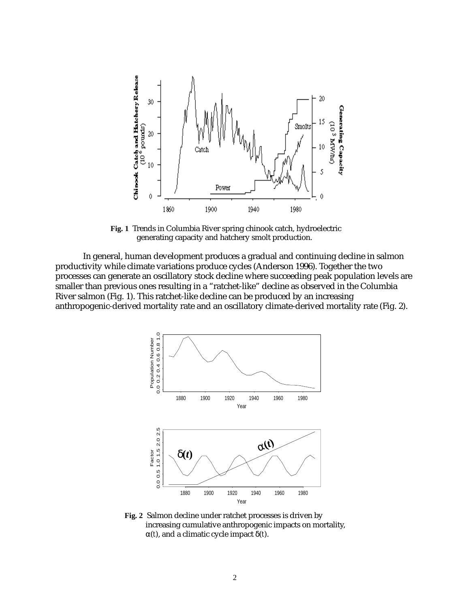<span id="page-1-0"></span>

**Fig. 1** Trends in Columbia River spring chinook catch, hydroelectric generating capacity and hatchery smolt production.

In general, human development produces a gradual and continuing decline in salmon productivity while climate variations produce cycles (Anderson 1996). Together the two processes can generate an oscillatory stock decline where succeeding peak population levels are smaller than previous ones resulting in a "ratchet-like" decline as observed in the Columbia River salmon (Fig. 1). This ratchet-like decline can be produced by an increasing anthropogenic-derived mortality rate and an oscillatory climate-derived mortality rate (Fig. 2).



**Fig. 2** Salmon decline under ratchet processes is driven by increasing cumulative anthropogenic impacts on mortality, α(*t*), and a climatic cycle impact δ(*t*).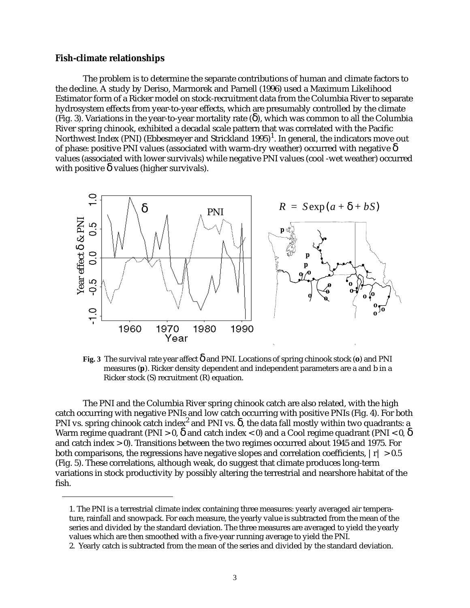#### **Fish-climate relationships**

The problem is to determine the separate contributions of human and climate factors to the decline. A study by Deriso, Marmorek and Parnell (1996) used a Maximum Likelihood Estimator form of a Ricker model on stock-recruitment data from the Columbia River to separate hydrosystem effects from year-to-year effects, which are presumably controlled by the climate (Fig. 3). Variations in the year-to-year mortality rate  $(\delta)$ , which was common to all the Columbia River spring chinook, exhibited a decadal scale pattern that was correlated with the Pacific Northwest Index (PNI) (Ebbesmeyer and Strickland 1995)<sup>1</sup>. In general, the indicators move out of phase: positive PNI values (associated with warm-dry weather) occurred with negative  $\delta$ values (associated with lower survivals) while negative PNI values (cool -wet weather) occurred with positive  $\delta$  values (higher survivals).



**Fig. 3** The survival rate year affect δ and PNI. Locations of spring chinook stock (**o**) and PNI measures (**p**). Ricker density dependent and independent parameters are a and b in a Ricker stock (S) recruitment (R) equation.

The PNI and the Columbia River spring chinook catch are also related, with the high catch occurring with negative PNIs and low catch occurring with positive PNIs [\(Fig. 4](#page-3-0)). For both PNI vs. spring chinook catch index<sup>2</sup> and PNI vs.  $\delta$ , the data fall mostly within two quadrants: a Warm regime quadrant (PNI > 0,  $\delta$  and catch index < 0) and a Cool regime quadrant (PNI < 0,  $\delta$ and catch index > 0). Transitions between the two regimes occurred about 1945 and 1975. For both comparisons, the regressions have negative slopes and correlation coefficients,  $|r| > 0.5$ ([Fig. 5](#page-3-0)). These correlations, although weak, do suggest that climate produces long-term variations in stock productivity by possibly altering the terrestrial and nearshore habitat of the fish.

<sup>1.</sup> The PNI is a terrestrial climate index containing three measures: yearly averaged air temperature, rainfall and snowpack. For each measure, the yearly value is subtracted from the mean of the series and divided by the standard deviation. The three measures are averaged to yield the yearly values which are then smoothed with a five-year running average to yield the PNI.

<sup>2.</sup> Yearly catch is subtracted from the mean of the series and divided by the standard deviation.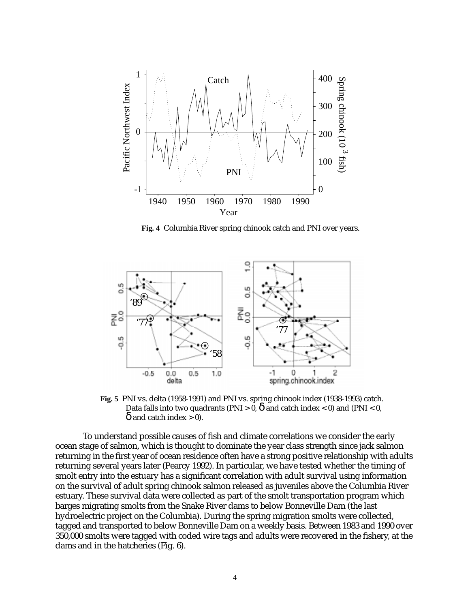<span id="page-3-0"></span>

**Fig. 4** Columbia River spring chinook catch and PNI over years.



**Fig. 5** PNI vs. delta (1958-1991) and PNI vs. spring chinook index (1938-1993) catch. Data falls into two quadrants (PNI > 0,  $\delta$  and catch index < 0) and (PNI < 0,  $\delta$  and catch index  $> 0$ ).

To understand possible causes of fish and climate correlations we consider the early ocean stage of salmon, which is thought to dominate the year class strength since jack salmon returning in the first year of ocean residence often have a strong positive relationship with adults returning several years later (Pearcy 1992). In particular, we have tested whether the timing of smolt entry into the estuary has a significant correlation with adult survival using information on the survival of adult spring chinook salmon released as juveniles above the Columbia River estuary. These survival data were collected as part of the smolt transportation program which barges migrating smolts from the Snake River dams to below Bonneville Dam (the last hydroelectric project on the Columbia). During the spring migration smolts were collected, tagged and transported to below Bonneville Dam on a weekly basis. Between 1983 and 1990 over 350,000 smolts were tagged with coded wire tags and adults were recovered in the fishery, at the dams and in the hatcheries [\(Fig. 6](#page-4-0)).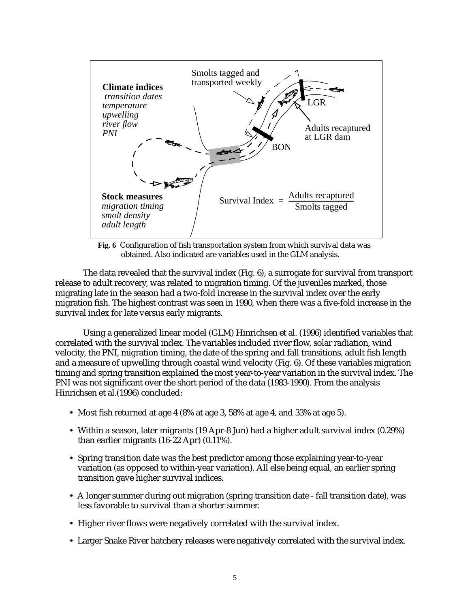<span id="page-4-0"></span>

**Fig. 6** Configuration of fish transportation system from which survival data was obtained. Also indicated are variables used in the GLM analysis.

The data revealed that the survival index (Fig. 6), a surrogate for survival from transport release to adult recovery, was related to migration timing. Of the juveniles marked, those migrating late in the season had a two-fold increase in the survival index over the early migration fish. The highest contrast was seen in 1990, when there was a five-fold increase in the survival index for late versus early migrants.

Using a generalized linear model (GLM) Hinrichsen et al. (1996) identified variables that correlated with the survival index. The variables included river flow, solar radiation, wind velocity, the PNI, migration timing, the date of the spring and fall transitions, adult fish length and a measure of upwelling through coastal wind velocity (Fig. 6). Of these variables migration timing and spring transition explained the most year-to-year variation in the survival index. The PNI was not significant over the short period of the data (1983-1990). From the analysis Hinrichsen et al.(1996) concluded:

- **•** Most fish returned at age 4 (8% at age 3, 58% at age 4, and 33% at age 5).
- **•** Within a season, later migrants (19 Apr-8 Jun) had a higher adult survival index (0.29%) than earlier migrants (16-22 Apr) (0.11%).
- **•** Spring transition date was the best predictor among those explaining year-to-year variation (as opposed to within-year variation). All else being equal, an earlier spring transition gave higher survival indices.
- **•** A longer summer during out migration (spring transition date fall transition date), was less favorable to survival than a shorter summer.
- **•** Higher river flows were negatively correlated with the survival index.
- **•** Larger Snake River hatchery releases were negatively correlated with the survival index.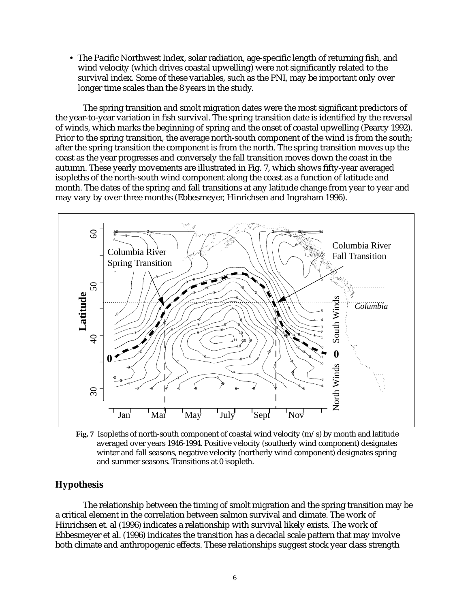**•** The Pacific Northwest Index, solar radiation, age-specific length of returning fish, and wind velocity (which drives coastal upwelling) were not significantly related to the survival index. Some of these variables, such as the PNI, may be important only over longer time scales than the 8 years in the study.

The spring transition and smolt migration dates were the most significant predictors of the year-to-year variation in fish survival. The spring transition date is identified by the reversal of winds, which marks the beginning of spring and the onset of coastal upwelling (Pearcy 1992). Prior to the spring transition, the average north-south component of the wind is from the south; after the spring transition the component is from the north. The spring transition moves up the coast as the year progresses and conversely the fall transition moves down the coast in the autumn. These yearly movements are illustrated in Fig. 7, which shows fifty-year averaged isopleths of the north-south wind component along the coast as a function of latitude and month. The dates of the spring and fall transitions at any latitude change from year to year and may vary by over three months (Ebbesmeyer, Hinrichsen and Ingraham 1996).



**Fig. 7** Isopleths of north-south component of coastal wind velocity (m/s) by month and latitude averaged over years 1946-1994. Positive velocity (southerly wind component) designates winter and fall seasons, negative velocity (northerly wind component) designates spring and summer seasons. Transitions at 0 isopleth.

# **Hypothesis**

The relationship between the timing of smolt migration and the spring transition may be a critical element in the correlation between salmon survival and climate. The work of Hinrichsen et. al (1996) indicates a relationship with survival likely exists. The work of Ebbesmeyer et al. (1996) indicates the transition has a decadal scale pattern that may involve both climate and anthropogenic effects. These relationships suggest stock year class strength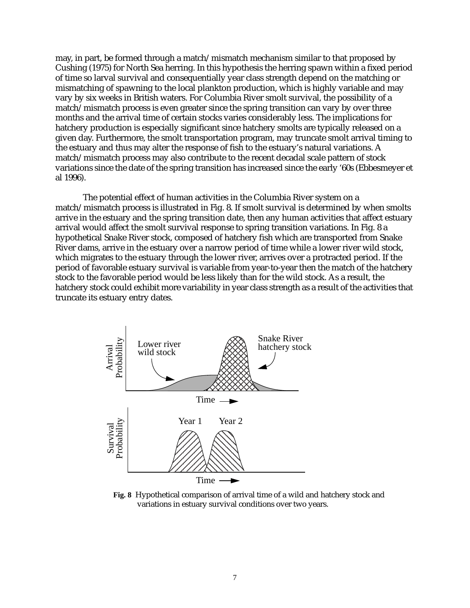may, in part, be formed through a match/mismatch mechanism similar to that proposed by Cushing (1975) for North Sea herring. In this hypothesis the herring spawn within a fixed period of time so larval survival and consequentially year class strength depend on the matching or mismatching of spawning to the local plankton production, which is highly variable and may vary by six weeks in British waters. For Columbia River smolt survival, the possibility of a match/mismatch process is even greater since the spring transition can vary by over three months and the arrival time of certain stocks varies considerably less. The implications for hatchery production is especially significant since hatchery smolts are typically released on a given day. Furthermore, the smolt transportation program, may truncate smolt arrival timing to the estuary and thus may alter the response of fish to the estuary's natural variations. A match/mismatch process may also contribute to the recent decadal scale pattern of stock variations since the date of the spring transition has increased since the early '60s (Ebbesmeyer et al 1996).

The potential effect of human activities in the Columbia River system on a match/mismatch process is illustrated in Fig. 8. If smolt survival is determined by when smolts arrive in the estuary and the spring transition date, then any human activities that affect estuary arrival would affect the smolt survival response to spring transition variations. In Fig. 8 a hypothetical Snake River stock, composed of hatchery fish which are transported from Snake River dams, arrive in the estuary over a narrow period of time while a lower river wild stock, which migrates to the estuary through the lower river, arrives over a protracted period. If the period of favorable estuary survival is variable from year-to-year then the match of the hatchery stock to the favorable period would be less likely than for the wild stock. As a result, the hatchery stock could exhibit more variability in year class strength as a result of the activities that truncate its estuary entry dates.



**Fig. 8** Hypothetical comparison of arrival time of a wild and hatchery stock and variations in estuary survival conditions over two years.